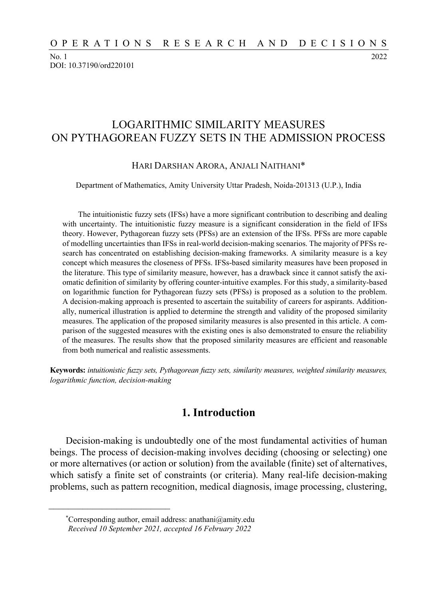No. 1 2022 DOI: 10.37190/ord220101

# LOGARITHMIC SIMILARITY MEASURES ON PYTHAGOREAN FUZZY SETS IN THE ADMISSION PROCESS

#### HARI DARSHAN ARORA, ANJALI NAITHANI\*

Department of Mathematics, Amity University Uttar Pradesh, Noida-201313 (U.P.), India

The intuitionistic fuzzy sets (IFSs) have a more significant contribution to describing and dealing with uncertainty. The intuitionistic fuzzy measure is a significant consideration in the field of IFSs theory. However, Pythagorean fuzzy sets (PFSs) are an extension of the IFSs. PFSs are more capable of modelling uncertainties than IFSs in real-world decision-making scenarios. The majority of PFSs research has concentrated on establishing decision-making frameworks. A similarity measure is a key concept which measures the closeness of PFSs. IFSs-based similarity measures have been proposed in the literature. This type of similarity measure, however, has a drawback since it cannot satisfy the axiomatic definition of similarity by offering counter-intuitive examples. For this study, a similarity-based on logarithmic function for Pythagorean fuzzy sets (PFSs) is proposed as a solution to the problem. A decision-making approach is presented to ascertain the suitability of careers for aspirants. Additionally, numerical illustration is applied to determine the strength and validity of the proposed similarity measures. The application of the proposed similarity measures is also presented in this article. A comparison of the suggested measures with the existing ones is also demonstrated to ensure the reliability of the measures. The results show that the proposed similarity measures are efficient and reasonable from both numerical and realistic assessments.

**Keywords:** *intuitionistic fuzzy sets, Pythagorean fuzzy sets, similarity measures, weighted similarity measures, logarithmic function, decision-making* 

## **1. Introduction**

Decision-making is undoubtedly one of the most fundamental activities of human beings. The process of decision-making involves deciding (choosing or selecting) one or more alternatives (or action or solution) from the available (finite) set of alternatives, which satisfy a finite set of constraints (or criteria). Many real-life decision-making problems, such as pattern recognition, medical diagnosis, image processing, clustering,

 $\mathcal{L}_\text{max}$ 

<sup>\*</sup>Corresponding author, email address: anathani@amity.edu *Received 10 September 2021, accepted 16 February 2022*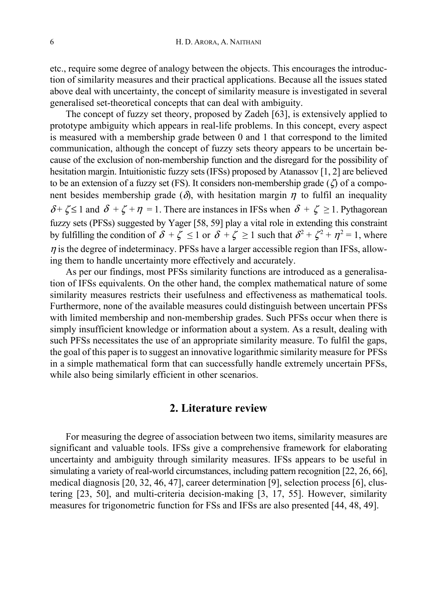etc., require some degree of analogy between the objects. This encourages the introduction of similarity measures and their practical applications. Because all the issues stated above deal with uncertainty, the concept of similarity measure is investigated in several generalised set-theoretical concepts that can deal with ambiguity.

The concept of fuzzy set theory, proposed by Zadeh [63], is extensively applied to prototype ambiguity which appears in real-life problems. In this concept, every aspect is measured with a membership grade between 0 and 1 that correspond to the limited communication, although the concept of fuzzy sets theory appears to be uncertain because of the exclusion of non-membership function and the disregard for the possibility of hesitation margin. Intuitionistic fuzzy sets (IFSs) proposed by Atanassov [1, 2] are believed to be an extension of a fuzzy set (FS). It considers non-membership grade ( $\zeta$ ) of a component besides membership grade ( $\delta$ ), with hesitation margin  $\eta$  to fulfil an inequality  $\delta$  +  $\zeta$   $\leq$  1 and  $\delta$  +  $\zeta$  +  $\eta$  = 1. There are instances in IFSs when  $\delta$  +  $\zeta$   $\geq$  1. Pythagorean fuzzy sets (PFSs) suggested by Yager [58, 59] play a vital role in extending this constraint by fulfilling the condition of  $\delta + \zeta \leq 1$  or  $\delta + \zeta \geq 1$  such that  $\delta^2 + \zeta^2 + \eta^2 = 1$ , where  $\eta$  is the degree of indeterminacy. PFSs have a larger accessible region than IFSs, allowing them to handle uncertainty more effectively and accurately.

As per our findings, most PFSs similarity functions are introduced as a generalisation of IFSs equivalents. On the other hand, the complex mathematical nature of some similarity measures restricts their usefulness and effectiveness as mathematical tools. Furthermore, none of the available measures could distinguish between uncertain PFSs with limited membership and non-membership grades. Such PFSs occur when there is simply insufficient knowledge or information about a system. As a result, dealing with such PFSs necessitates the use of an appropriate similarity measure. To fulfil the gaps, the goal of this paper is to suggest an innovative logarithmic similarity measure for PFSs in a simple mathematical form that can successfully handle extremely uncertain PFSs, while also being similarly efficient in other scenarios.

## **2. Literature review**

For measuring the degree of association between two items, similarity measures are significant and valuable tools. IFSs give a comprehensive framework for elaborating uncertainty and ambiguity through similarity measures. IFSs appears to be useful in simulating a variety of real-world circumstances, including pattern recognition [22, 26, 66], medical diagnosis [20, 32, 46, 47], career determination [9], selection process [6], clustering [23, 50], and multi-criteria decision-making [3, 17, 55]. However, similarity measures for trigonometric function for FSs and IFSs are also presented [44, 48, 49].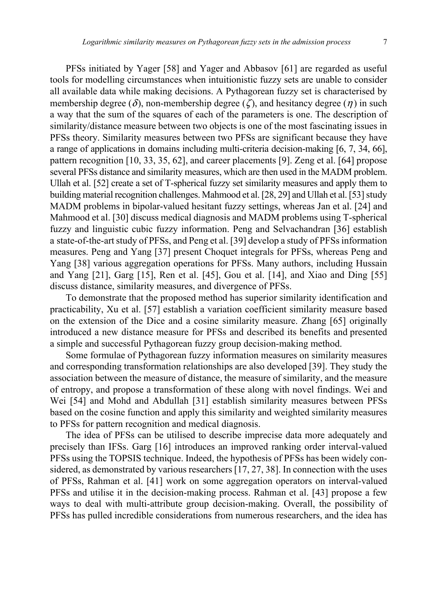PFSs initiated by Yager [58] and Yager and Abbasov [61] are regarded as useful tools for modelling circumstances when intuitionistic fuzzy sets are unable to consider all available data while making decisions. A Pythagorean fuzzy set is characterised by membership degree (δ), non-membership degree (ζ), and hesitancy degree (η) in such a way that the sum of the squares of each of the parameters is one. The description of similarity/distance measure between two objects is one of the most fascinating issues in PFSs theory. Similarity measures between two PFSs are significant because they have a range of applications in domains including multi-criteria decision-making [6, 7, 34, 66], pattern recognition [10, 33, 35, 62], and career placements [9]. Zeng et al. [64] propose several PFSs distance and similarity measures, which are then used in the MADM problem. Ullah et al. [52] create a set of T-spherical fuzzy set similarity measures and apply them to building material recognition challenges. Mahmood et al. [28, 29] and Ullah et al. [53] study MADM problems in bipolar-valued hesitant fuzzy settings, whereas Jan et al. [24] and Mahmood et al. [30] discuss medical diagnosis and MADM problems using T-spherical fuzzy and linguistic cubic fuzzy information. Peng and Selvachandran [36] establish a state-of-the-art study of PFSs, and Peng et al. [39] develop a study of PFSs information measures. Peng and Yang [37] present Choquet integrals for PFSs, whereas Peng and Yang [38] various aggregation operations for PFSs. Many authors, including Hussain and Yang [21], Garg [15], Ren et al. [45], Gou et al. [14], and Xiao and Ding [55] discuss distance, similarity measures, and divergence of PFSs.

To demonstrate that the proposed method has superior similarity identification and practicability, Xu et al. [57] establish a variation coefficient similarity measure based on the extension of the Dice and a cosine similarity measure. Zhang [65] originally introduced a new distance measure for PFSs and described its benefits and presented a simple and successful Pythagorean fuzzy group decision-making method.

Some formulae of Pythagorean fuzzy information measures on similarity measures and corresponding transformation relationships are also developed [39]. They study the association between the measure of distance, the measure of similarity, and the measure of entropy, and propose a transformation of these along with novel findings. Wei and Wei [54] and Mohd and Abdullah [31] establish similarity measures between PFSs based on the cosine function and apply this similarity and weighted similarity measures to PFSs for pattern recognition and medical diagnosis.

The idea of PFSs can be utilised to describe imprecise data more adequately and precisely than IFSs. Garg [16] introduces an improved ranking order interval-valued PFSs using the TOPSIS technique. Indeed, the hypothesis of PFSs has been widely considered, as demonstrated by various researchers [17, 27, 38]. In connection with the uses of PFSs, Rahman et al. [41] work on some aggregation operators on interval-valued PFSs and utilise it in the decision-making process. Rahman et al. [43] propose a few ways to deal with multi-attribute group decision-making. Overall, the possibility of PFSs has pulled incredible considerations from numerous researchers, and the idea has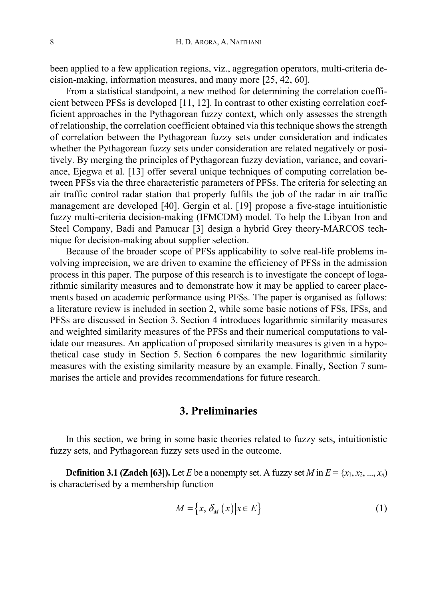been applied to a few application regions, viz., aggregation operators, multi-criteria decision-making, information measures, and many more [25, 42, 60].

From a statistical standpoint, a new method for determining the correlation coefficient between PFSs is developed [11, 12]. In contrast to other existing correlation coefficient approaches in the Pythagorean fuzzy context, which only assesses the strength of relationship, the correlation coefficient obtained via this technique shows the strength of correlation between the Pythagorean fuzzy sets under consideration and indicates whether the Pythagorean fuzzy sets under consideration are related negatively or positively. By merging the principles of Pythagorean fuzzy deviation, variance, and covariance, Ejegwa et al. [13] offer several unique techniques of computing correlation between PFSs via the three characteristic parameters of PFSs. The criteria for selecting an air traffic control radar station that properly fulfils the job of the radar in air traffic management are developed [40]. Gergin et al. [19] propose a five-stage intuitionistic fuzzy multi-criteria decision-making (IFMCDM) model. To help the Libyan Iron and Steel Company, Badi and Pamucar [3] design a hybrid Grey theory-MARCOS technique for decision-making about supplier selection.

Because of the broader scope of PFSs applicability to solve real-life problems involving imprecision, we are driven to examine the efficiency of PFSs in the admission process in this paper. The purpose of this research is to investigate the concept of logarithmic similarity measures and to demonstrate how it may be applied to career placements based on academic performance using PFSs. The paper is organised as follows: a literature review is included in section 2, while some basic notions of FSs, IFSs, and PFSs are discussed in Section 3. Section 4 introduces logarithmic similarity measures and weighted similarity measures of the PFSs and their numerical computations to validate our measures. An application of proposed similarity measures is given in a hypothetical case study in Section 5. Section 6 compares the new logarithmic similarity measures with the existing similarity measure by an example. Finally, Section 7 summarises the article and provides recommendations for future research.

## **3. Preliminaries**

In this section, we bring in some basic theories related to fuzzy sets, intuitionistic fuzzy sets, and Pythagorean fuzzy sets used in the outcome.

**Definition 3.1 (Zadeh [63]).** Let *E* be a nonempty set. A fuzzy set *M* in  $E = \{x_1, x_2, ..., x_n\}$ is characterised by a membership function

$$
M = \{x, \delta_M(x) | x \in E\}
$$
 (1)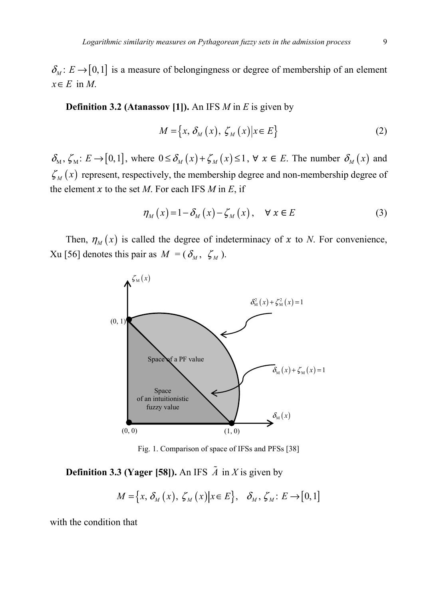$\delta_M : E \to [0,1]$  is a measure of belongingness or degree of membership of an element *x*∈*E* in *M*.

**Definition 3.2 (Atanassov [1]).** An IFS *M* in *E* is given by

$$
M = \{x, \delta_M(x), \zeta_M(x) | x \in E\}
$$
 (2)

 $\delta_M$ ,  $\zeta_M$ :  $E \to [0,1]$ , where  $0 \leq \delta_M(x) + \zeta_M(x) \leq 1$ ,  $\forall x \in E$ . The number  $\delta_M(x)$  and  $\zeta_M(x)$  represent, respectively, the membership degree and non-membership degree of the element  $x$  to the set  $M$ . For each IFS  $M$  in  $E$ , if

$$
\eta_M(x) = 1 - \delta_M(x) - \zeta_M(x), \quad \forall x \in E
$$
 (3)

Then,  $\eta_M(x)$  is called the degree of indeterminacy of x to *N*. For convenience, Xu [56] denotes this pair as  $M = (\delta_M, \zeta_M)$ .



Fig. 1. Comparison of space of IFSs and PFSs [38]

# **Definition 3.3 (Yager [58]).** An IFS  $\tilde{A}$  in *X* is given by

$$
M = \{x, \delta_M(x), \zeta_M(x) | x \in E\}, \delta_M, \zeta_M : E \to [0,1]
$$

with the condition that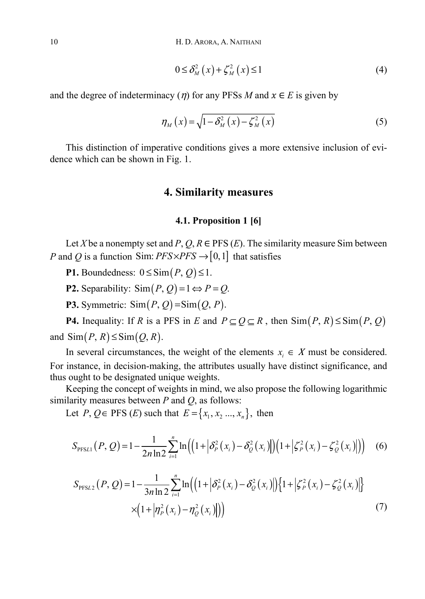$$
0 \leq \delta_M^2(x) + \zeta_M^2(x) \leq 1 \tag{4}
$$

and the degree of indeterminacy ( $\eta$ ) for any PFSs *M* and  $x \in E$  is given by

$$
\eta_M(x) = \sqrt{1 - \delta_M^2(x) - \zeta_M^2(x)}\tag{5}
$$

This distinction of imperative conditions gives a more extensive inclusion of evidence which can be shown in Fig. 1.

## **4. Similarity measures**

### **4.1. Proposition 1 [6]**

Let *X* be a nonempty set and *P*,  $Q, R \in \text{PFS}$  *(E)*. The similarity measure Sim between *P* and *Q* is a function Sim:  $PFS \times PFS \rightarrow [0,1]$  that satisfies

**P1.** Boundedness:  $0 \leq \text{Sim}(P, Q) \leq 1$ .

**P2.** Separability:  $\text{Sim}(P, Q) = 1 \Leftrightarrow P = Q$ .

**P3.** Symmetric:  $\text{Sim}(P, Q) = \text{Sim}(Q, P)$ .

**P4.** Inequality: If *R* is a PFS in *E* and  $P \subseteq Q \subseteq R$ , then  $\text{Sim}(P, R) \leq \text{Sim}(P, Q)$ and  $\text{Sim}(P, R) \leq \text{Sim}(Q, R)$ .

In several circumstances, the weight of the elements  $x_i \in X$  must be considered. For instance, in decision-making, the attributes usually have distinct significance, and thus ought to be designated unique weights.

Keeping the concept of weights in mind, we also propose the following logarithmic similarity measures between *P* and *Q*, as follows:

Let *P*, *Q*∈ PFS (*E*) such that  $E = \{x_1, x_2, ..., x_n\}$ , then

$$
S_{\text{PFSL1}}(P,Q) = 1 - \frac{1}{2n \ln 2} \sum_{i=1}^{n} \ln \left( \left( 1 + \left| \delta_{P}^{2}(x_{i}) - \delta_{Q}^{2}(x_{i}) \right| \right) \left( 1 + \left| \zeta_{P}^{2}(x_{i}) - \zeta_{Q}^{2}(x_{i}) \right| \right) \right) \tag{6}
$$

$$
S_{\text{PFSL2}}(P,Q) = 1 - \frac{1}{3n \ln 2} \sum_{i=1}^{n} \ln \left( \left( 1 + \left| \delta_{P}^{2}(x_{i}) - \delta_{Q}^{2}(x_{i}) \right| \right) \left\{ 1 + \left| \zeta_{P}^{2}(x_{i}) - \zeta_{Q}^{2}(x_{i}) \right| \right\} \times \left( 1 + \left| \eta_{P}^{2}(x_{i}) - \eta_{Q}^{2}(x_{i}) \right| \right) \right)
$$
\n
$$
(7)
$$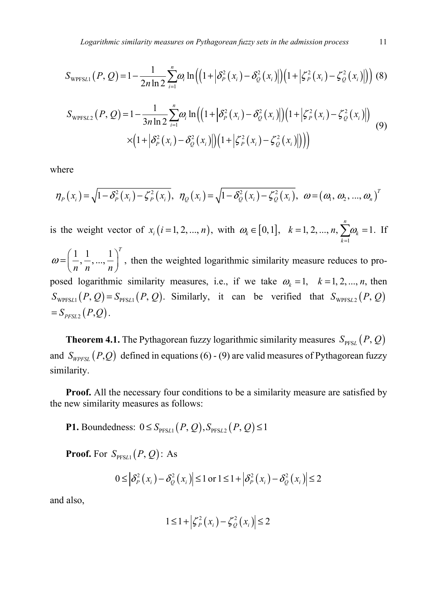$$
S_{\text{WPFSL1}}(P,Q) = 1 - \frac{1}{2n \ln 2} \sum_{i=1}^{n} \omega_i \ln \left( \left( 1 + \left| \delta_P^2(x_i) - \delta_Q^2(x_i) \right| \right) \left( 1 + \left| \zeta_P^2(x_i) - \zeta_Q^2(x_i) \right| \right) \right) (8)
$$

$$
S_{\text{WPFSL2}}(P, Q) = 1 - \frac{1}{3n \ln 2} \sum_{i=1}^{n} \omega_i \ln \left( \left( 1 + \left| \delta_P^2(x_i) - \delta_Q^2(x_i) \right| \right) \left( 1 + \left| \zeta_P^2(x_i) - \zeta_Q^2(x_i) \right| \right) \right) \times \left( 1 + \left| \delta_P^2(x_i) - \delta_Q^2(x_i) \right| \right) \left( 1 + \left| \zeta_P^2(x_i) - \zeta_Q^2(x_i) \right| \right) \right)
$$
(9)

where

$$
\eta_P(x_i) = \sqrt{1 - \delta_P^2(x_i) - \zeta_P^2(x_i)}, \ \eta_Q(x_i) = \sqrt{1 - \delta_Q^2(x_i) - \zeta_Q^2(x_i)}, \ \omega = (\omega_1, \omega_2, ..., \omega_n)^T
$$

is the weight vector of  $x_i$  ( *i* = 1, 2, ..., *n*), with  $\omega_k \in [0, 1]$ ,  $k = 1, 2, ..., n$ ,  $\sum_{k=1}^{n}$  $k = 1, 2, ..., n, \sum_{k=1}^{n} \omega_k = 1.$  $\sum_{k=1}^{\infty} a_k$  $k = 1, 2, ..., n, \sum_{n} \omega_{n}$  $= 1, 2, ..., n, \sum_{k=1}^{\infty} \omega_k = 1$ . If  $\left[1, \frac{1}{2}, \ldots, \frac{1}{n}\right]^T$  $\omega = \left(\frac{1}{n}, \frac{1}{n}, ..., \frac{1}{n}\right)^n$ , then the weighted logarithmic similarity measure reduces to proposed logarithmic similarity measures, i.e., if we take  $\omega_k = 1, \quad k = 1, 2, ..., n$ , then  $S_{WPFSL1}(P, Q) = S_{PFSL1}(P, Q)$ . Similarly, it can be verified that  $S_{WPFSL2}(P, Q)$  $= S_{PFSL2}( P,Q).$ 

**Theorem 4.1.** The Pythagorean fuzzy logarithmic similarity measures  $S_{\text{PfSL}}(P, Q)$ and  $S_{WPSL}$   $(P,Q)$  defined in equations (6) - (9) are valid measures of Pythagorean fuzzy similarity.

**Proof.** All the necessary four conditions to be a similarity measure are satisfied by the new similarity measures as follows:

**P1.** Boundedness:  $0 \leq S_{\text{prst1}}(P, Q), S_{\text{prst2}}(P, Q) \leq 1$ 

**Proof.** For  $S_{\text{PFSL1}}(P, Q)$ : As

$$
0 \leq \left|\delta_{P}^{2}\left(x_{i}\right)-\delta_{Q}^{2}\left(x_{i}\right)\right| \leq 1 \text{ or } 1 \leq 1+\left|\delta_{P}^{2}\left(x_{i}\right)-\delta_{Q}^{2}\left(x_{i}\right)\right| \leq 2
$$

and also,

$$
1 \leq 1 + \left| \zeta_P^2(x_i) - \zeta_Q^2(x_i) \right| \leq 2
$$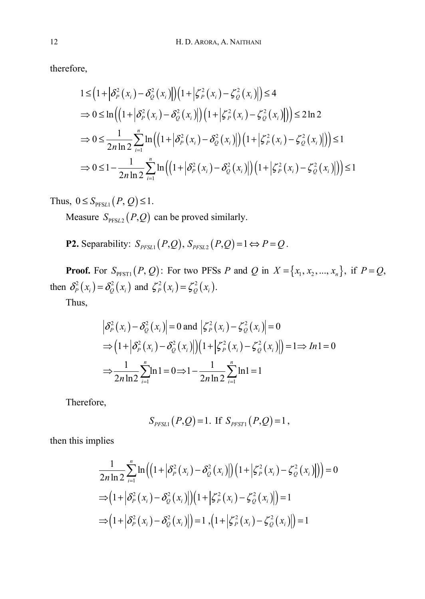therefore,

$$
1 \leq (1 + |\delta_P^2(x_i) - \delta_Q^2(x_i)|)(1 + |\zeta_P^2(x_i) - \zeta_Q^2(x_i)|) \leq 4
$$
  
\n
$$
\Rightarrow 0 \leq \ln((1 + |\delta_P^2(x_i) - \delta_Q^2(x_i)|)(1 + |\zeta_P^2(x_i) - \zeta_Q^2(x_i)|)) \leq 2\ln 2
$$
  
\n
$$
\Rightarrow 0 \leq \frac{1}{2n \ln 2} \sum_{i=1}^n \ln((1 + |\delta_P^2(x_i) - \delta_Q^2(x_i)|)(1 + |\zeta_P^2(x_i) - \zeta_Q^2(x_i)|)) \leq 1
$$
  
\n
$$
\Rightarrow 0 \leq 1 - \frac{1}{2n \ln 2} \sum_{i=1}^n \ln((1 + |\delta_P^2(x_i) - \delta_Q^2(x_i)|)(1 + |\zeta_P^2(x_i) - \zeta_Q^2(x_i)|)) \leq 1
$$

Thus,  $0 \leq S_{\text{PFSL1}}(P, Q) \leq 1$ .

Measure  $S_{\text{PFSL2}} ( P, Q )$  can be proved similarly.

**P2.** Separability:  $S_{PFSL1}(P,Q)$ ,  $S_{PFSL2}(P,Q) = 1 \Leftrightarrow P = Q$ .

**Proof.** For  $S_{PFT1}(P, Q)$ : For two PFSs *P* and *Q* in  $X = \{x_1, x_2, ..., x_n\}$ , if  $P = Q$ , then  $\delta_P^2(x_i) = \delta_Q^2(x_i)$  and  $\zeta_P^2(x_i) = \zeta_Q^2(x_i)$ .

Thus,

$$
\left| \delta_{P}^{2}(x_{i}) - \delta_{Q}^{2}(x_{i}) \right| = 0 \text{ and } \left| \zeta_{P}^{2}(x_{i}) - \zeta_{Q}^{2}(x_{i}) \right| = 0
$$
  
\n
$$
\Rightarrow (1 + \left| \delta_{P}^{2}(x_{i}) - \delta_{Q}^{2}(x_{i}) \right|)(1 + \left| \zeta_{P}^{2}(x_{i}) - \zeta_{Q}^{2}(x_{i}) \right|) = 1 \Rightarrow In1 = 0
$$
  
\n
$$
\Rightarrow \frac{1}{2n \ln 2} \sum_{i=1}^{n} \ln 1 = 0 \Rightarrow 1 - \frac{1}{2n \ln 2} \sum_{i=1}^{n} \ln 1 = 1
$$

Therefore,

$$
S_{PFSL1}(P,Q) = 1
$$
. If  $S_{PFST1}(P,Q) = 1$ ,

then this implies

$$
\frac{1}{2n \ln 2} \sum_{i=1}^{n} \ln \left( \left( 1 + \left| \delta_{P}^{2} \left( x_{i} \right) - \delta_{Q}^{2} \left( x_{i} \right) \right| \right) \left( 1 + \left| \zeta_{P}^{2} \left( x_{i} \right) - \zeta_{Q}^{2} \left( x_{i} \right) \right| \right) \right) = 0
$$
\n
$$
\Rightarrow \left( 1 + \left| \delta_{P}^{2} \left( x_{i} \right) - \delta_{Q}^{2} \left( x_{i} \right) \right| \right) \left( 1 + \left| \zeta_{P}^{2} \left( x_{i} \right) - \zeta_{Q}^{2} \left( x_{i} \right) \right| \right) = 1
$$
\n
$$
\Rightarrow \left( 1 + \left| \delta_{P}^{2} \left( x_{i} \right) - \delta_{Q}^{2} \left( x_{i} \right) \right| \right) = 1, \left( 1 + \left| \zeta_{P}^{2} \left( x_{i} \right) - \zeta_{Q}^{2} \left( x_{i} \right) \right| \right) = 1
$$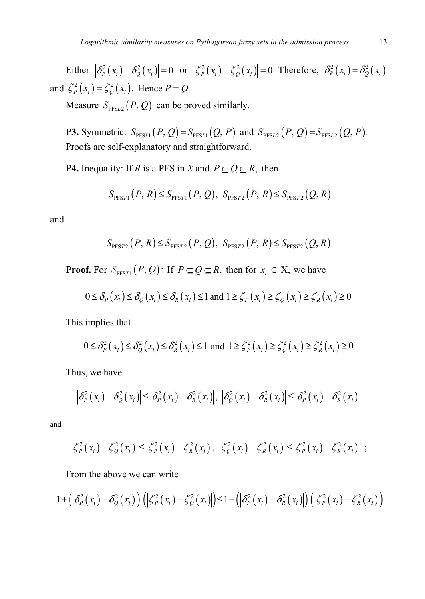Either  $\left|\delta_P^2(x_i) - \delta_Q^2(x_i)\right| = 0$  or  $\left|\zeta_P^2(x_i) - \zeta_Q^2(x_i)\right| = 0$ . Therefore,  $\delta_P^2(x_i) = \delta_Q^2(x_i)$ and  $\zeta_P^2(x_i) = \zeta_Q^2(x_i)$ . Hence  $P = Q$ .

Measure  $S_{\text{PFSL2}}(P, Q)$  can be proved similarly.

**P3.** Symmetric:  $S_{\text{PFSL1}}(P, Q) = S_{\text{PFSL1}}(Q, P)$  and  $S_{\text{PFSL2}}(P, Q) = S_{\text{PFSL2}}(Q, P)$ . Proofs are self-explanatory and straightforward.

**P4.** Inequality: If *R* is a PFS in *X* and  $P \subseteq Q \subseteq R$ , then

$$
S_{\text{PFS}T1}(P,R) \leq S_{\text{PFS}T1}(P,Q), S_{\text{PFS}T2}(P,R) \leq S_{\text{PFS}T2}(Q,R)
$$

and

$$
S_{\text{PFS}72}(P,R) \leq S_{\text{PFS}72}(P,Q), S_{\text{PFS}72}(P,R) \leq S_{\text{PFS}72}(Q,R)
$$

**Proof.** For  $S_{\text{PFS}T1}(P, Q)$ : If  $P \subseteq Q \subseteq R$ , then for  $x_i \in X$ , we have

$$
0 \leq \delta_P(x_i) \leq \delta_Q(x_i) \leq \delta_R(x_i) \leq 1 \text{ and } 1 \geq \zeta_P(x_i) \geq \zeta_Q(x_i) \geq \zeta_R(x_i) \geq 0
$$

This implies that

$$
0 \leq \delta_P^2(x_i) \leq \delta_Q^2(x_i) \leq \delta_R^2(x_i) \leq 1 \text{ and } 1 \geq \zeta_P^2(x_i) \geq \zeta_Q^2(x_i) \geq \zeta_R^2(x_i) \geq 0
$$

Thus, we have

$$
\left|\delta_{P}^{2}\left(x_{i}\right)-\delta_{Q}^{2}\left(x_{i}\right)\right|\leq\left|\delta_{P}^{2}\left(x_{i}\right)-\delta_{R}^{2}\left(x_{i}\right)\right|,\,\,\left|\delta_{Q}^{2}\left(x_{i}\right)-\delta_{R}^{2}\left(x_{i}\right)\right|\leq\left|\delta_{P}^{2}\left(x_{i}\right)-\delta_{R}^{2}\left(x_{i}\right)\right|
$$

and

$$
\left|\zeta_P^2(x_i)-\zeta_Q^2(x_i)\right|\leq \left|\zeta_P^2(x_i)-\zeta_R^2(x_i)\right|,\ \left|\zeta_Q^2(x_i)-\zeta_R^2(x_i)\right|\leq \left|\zeta_P^2(x_i)-\zeta_R^2(x_i)\right|;
$$

From the above we can write

$$
1+\left(\left|\delta_{P}^{2}\left(x_{i}\right)-\delta_{Q}^{2}\left(x_{i}\right)\right|\right)\left(\left|\zeta_{P}^{2}\left(x_{i}\right)-\zeta_{Q}^{2}\left(x_{i}\right)\right|\right)\leq1+\left(\left|\delta_{P}^{2}\left(x_{i}\right)-\delta_{R}^{2}\left(x_{i}\right)\right|\right)\left(\left|\zeta_{P}^{2}\left(x_{i}\right)-\zeta_{R}^{2}\left(x_{i}\right)\right|\right)
$$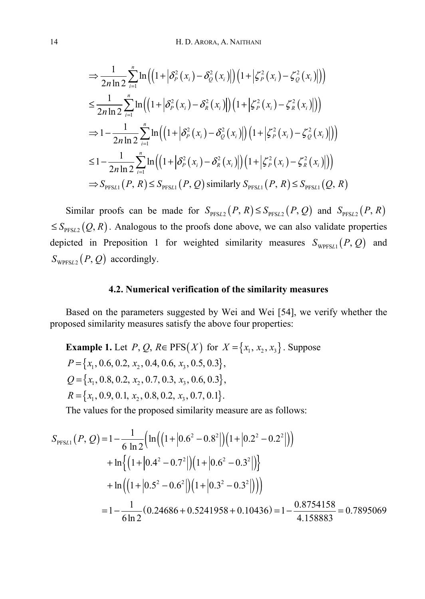$$
\Rightarrow \frac{1}{2n \ln 2} \sum_{i=1}^{n} \ln \left( \left( 1 + \left| \delta_{P}^{2}(x_{i}) - \delta_{Q}^{2}(x_{i}) \right| \right) \left( 1 + \left| \zeta_{P}^{2}(x_{i}) - \zeta_{Q}^{2}(x_{i}) \right| \right) \right)
$$
\n
$$
\leq \frac{1}{2n \ln 2} \sum_{i=1}^{n} \ln \left( \left( 1 + \left| \delta_{P}^{2}(x_{i}) - \delta_{R}^{2}(x_{i}) \right| \right) \left( 1 + \left| \zeta_{P}^{2}(x_{i}) - \zeta_{R}^{2}(x_{i}) \right| \right) \right)
$$
\n
$$
\Rightarrow 1 - \frac{1}{2n \ln 2} \sum_{i=1}^{n} \ln \left( \left( 1 + \left| \delta_{P}^{2}(x_{i}) - \delta_{Q}^{2}(x_{i}) \right| \right) \left( 1 + \left| \zeta_{P}^{2}(x_{i}) - \zeta_{Q}^{2}(x_{i}) \right| \right) \right)
$$
\n
$$
\leq 1 - \frac{1}{2n \ln 2} \sum_{i=1}^{n} \ln \left( \left( 1 + \left| \delta_{P}^{2}(x_{i}) - \delta_{R}^{2}(x_{i}) \right| \right) \left( 1 + \left| \zeta_{P}^{2}(x_{i}) - \zeta_{R}^{2}(x_{i}) \right| \right) \right)
$$
\n
$$
\Rightarrow S_{\text{PfSL1}}(P, R) \leq S_{\text{PfSL1}}(P, Q) \text{ similarly } S_{\text{PfSL1}}(P, R) \leq S_{\text{PfSL1}}(Q, R)
$$

Similar proofs can be made for  $S_{PFSL2}(P, R) \leq S_{PFSL2}(P, Q)$  and  $S_{PFSL2}(P, R)$  $\leq$  *S*<sub>PFS*L*2</sub> (*Q*, *R*). Analogous to the proofs done above, we can also validate properties depicted in Preposition 1 for weighted similarity measures  $S_{WPFSL1}(P, Q)$  and  $S_{WPFSL2}(P, Q)$  accordingly.

## **4.2. Numerical verification of the similarity measures**

Based on the parameters suggested by Wei and Wei [54], we verify whether the proposed similarity measures satisfy the above four properties:

**Example 1.** Let *P*, *Q*, *R* ∈ PFS(*X*) for *X* = {*x*<sub>1</sub>, *x*<sub>2</sub>, *x*<sub>3</sub>}. Suppose 
$$
P = \{x_1, 0.6, 0.2, x_2, 0.4, 0.6, x_3, 0.5, 0.3\},
$$
 $Q = \{x_1, 0.8, 0.2, x_2, 0.7, 0.3, x_3, 0.6, 0.3\},$  $R = \{x_1, 0.9, 0.1, x_2, 0.8, 0.2, x_3, 0.7, 0.1\}.$ 

The values for the proposed similarity measure are as follows:

$$
S_{\text{PFSL1}}(P, Q) = 1 - \frac{1}{6 \ln 2} \Big( \ln \Big( \Big( 1 + \Big| 0.6^2 - 0.8^2 \Big| \Big) \Big( 1 + \Big| 0.2^2 - 0.2^2 \Big| \Big) \Big) + \ln \Big\{ \Big( 1 + \Big| 0.4^2 - 0.7^2 \Big| \Big) \Big( 1 + \Big| 0.6^2 - 0.3^2 \Big| \Big) \Big\} + \ln \Big( \Big( 1 + \Big| 0.5^2 - 0.6^2 \Big| \Big) \Big( 1 + \Big| 0.3^2 - 0.3^2 \Big| \Big) \Big) \Big) = 1 - \frac{1}{6 \ln 2} (0.24686 + 0.5241958 + 0.10436) = 1 - \frac{0.8754158}{4.158883} = 0.7895069
$$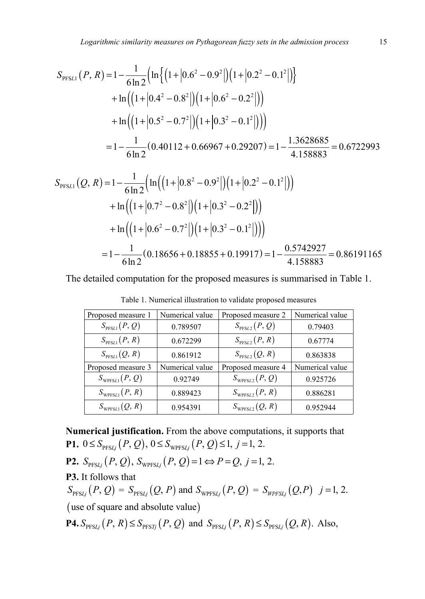$$
S_{\text{PFSL1}}(P, R) = 1 - \frac{1}{6 \ln 2} \Big( \ln \Big\{ \Big( 1 + \Big| 0.6^2 - 0.9^2 \Big| \Big) \Big( 1 + \Big| 0.2^2 - 0.1^2 \Big| \Big) \Big\} + \ln \Big( \Big( 1 + \Big| 0.4^2 - 0.8^2 \Big| \Big) \Big( 1 + \Big| 0.6^2 - 0.2^2 \Big| \Big) \Big) + \ln \Big( \Big( 1 + \Big| 0.5^2 - 0.7^2 \Big| \Big) \Big( 1 + \Big| 0.3^2 - 0.1^2 \Big| \Big) \Big) \Big) = 1 - \frac{1}{6 \ln 2} (0.40112 + 0.66967 + 0.29207) = 1 - \frac{1.3628685}{4.158883} = 0.6722993
$$

$$
S_{\text{PFSL1}}(Q, R) = 1 - \frac{1}{6 \ln 2} \Big( \ln \Big( \Big( 1 + \Big| 0.8^2 - 0.9^2 \Big| \Big) \Big( 1 + \Big| 0.2^2 - 0.1^2 \Big| \Big) \Big) + \ln \Big( \Big( 1 + \Big| 0.7^2 - 0.8^2 \Big| \Big) \Big( 1 + \Big| 0.3^2 - 0.2^2 \Big| \Big) \Big) + \ln \Big( \Big( 1 + \Big| 0.6^2 - 0.7^2 \Big| \Big) \Big( 1 + \Big| 0.3^2 - 0.1^2 \Big| \Big) \Big) \Big) = 1 - \frac{1}{6 \ln 2} (0.18656 + 0.18855 + 0.19917) = 1 - \frac{0.5742927}{4.158883} = 0.86191165
$$

The detailed computation for the proposed measures is summarised in Table 1.

| Proposed measure 1         | Numerical value | Proposed measure 2       | Numerical value |  |
|----------------------------|-----------------|--------------------------|-----------------|--|
| $S_{\text{PFSL1}}(P,Q)$    | 0.789507        | $S_{\text{PFSL2}}(P,Q)$  | 0.79403         |  |
| $S_{\text{PFSL1}}(P, R)$   | 0.672299        | $S_{\text{PFSL2}}(P, R)$ | 0.67774         |  |
| $S_{\text{PFSL1}}(Q, R)$   | 0.861912        | $S_{\text{PFSL2}}(Q, R)$ | 0.863838        |  |
| Proposed measure 3         | Numerical value | Proposed measure 4       | Numerical value |  |
| $S_{W{\text{PFSL1}}}(P,Q)$ | 0.92749         | $S_{WPESL2}(P,Q)$        | 0.925726        |  |
| $S_{WPFSL1}(P, R)$         | 0.889423        | $S_{WPESL2}(P, R)$       | 0.886281        |  |
| $S_{W \text{PFSL1}}(Q, R)$ | 0.954391        | $S_{WPFSL2}(Q, R)$       | 0.952944        |  |

Table 1. Numerical illustration to validate proposed measures

**Numerical justification.** From the above computations, it supports that **P1.**  $0 \leq S_{\text{PFSL}i}(P, Q), 0 \leq S_{\text{WPSL}i}(P, Q) \leq 1, j = 1, 2.$ 

**P2.** 
$$
S_{\text{PFS}Lj}(P,Q)
$$
,  $S_{\text{WPFS}Lj}(P,Q) = 1 \Leftrightarrow P = Q, j = 1, 2$ .

**P3.** It follows that

 $S_{\text{PFSL}j}( P, Q ) = S_{\text{PFSL}j}( Q, P )$  and  $S_{\text{WPSL}j}( P, Q ) = S_{\text{WPSL}j}( Q, P )$  *j* = 1, 2. (use of square and absolute value)

 $P4. S_{\text{PFS}Lj}(P, R) \leq S_{\text{PFS}Tj}(P, Q)$  and  $S_{\text{PFS}Lj}(P, R) \leq S_{\text{PFS}Lj}(Q, R)$ . Also,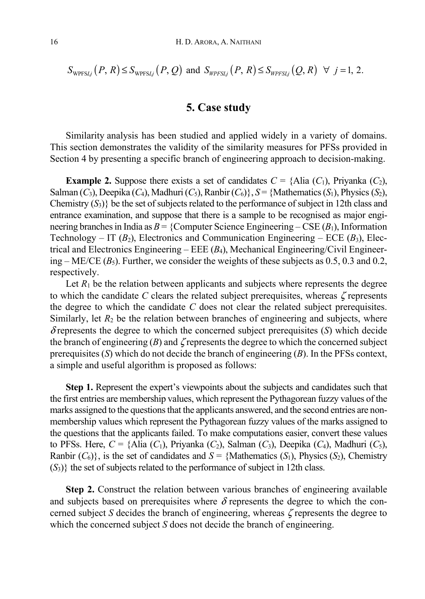$$
S_{\text{WPFS}Lj}(P,R) \le S_{\text{WPFS}Lj}(P,Q) \text{ and } S_{\text{WPFS}Lj}(P,R) \le S_{\text{WPFS}Lj}(Q,R) \quad \forall \quad j=1,2.
$$

## **5. Case study**

Similarity analysis has been studied and applied widely in a variety of domains. This section demonstrates the validity of the similarity measures for PFSs provided in Section 4 by presenting a specific branch of engineering approach to decision-making.

**Example 2.** Suppose there exists a set of candidates  $C = \{ \text{Alia } (C_1), \text{Privanka } (C_2), \}$ Salman  $(C_3)$ , Deepika  $(C_4)$ , Madhuri  $(C_5)$ , Ranbir  $(C_6)$ },  $S = \{Mathematics (S_1)$ , Physics  $(S_2)$ , Chemistry (*S*3)} be the set of subjects related to the performance of subject in 12th class and entrance examination, and suppose that there is a sample to be recognised as major engineering branches in India as  $B = \{Computer Science Engineering - CSE(B_1), Information$ Technology – IT  $(B_2)$ , Electronics and Communication Engineering – ECE  $(B_3)$ , Electrical and Electronics Engineering – EEE (*B*4), Mechanical Engineering/Civil Engineering  $-ME/CE(B_5)$ . Further, we consider the weights of these subjects as 0.5, 0.3 and 0.2, respectively.

Let  $R_1$  be the relation between applicants and subjects where represents the degree to which the candidate  $C$  clears the related subject prerequisites, whereas  $\zeta$  represents the degree to which the candidate *C* does not clear the related subject prerequisites. Similarly, let  $R_2$  be the relation between branches of engineering and subjects, where  $\delta$  represents the degree to which the concerned subject prerequisites  $(S)$  which decide the branch of engineering  $(B)$  and  $\zeta$  represents the degree to which the concerned subject prerequisites (*S*) which do not decide the branch of engineering (*B*). In the PFSs context, a simple and useful algorithm is proposed as follows:

**Step 1.** Represent the expert's viewpoints about the subjects and candidates such that the first entries are membership values, which represent the Pythagorean fuzzy values of the marks assigned to the questions that the applicants answered, and the second entries are nonmembership values which represent the Pythagorean fuzzy values of the marks assigned to the questions that the applicants failed. To make computations easier, convert these values to PFSs. Here, *C* = {Alia (*C*1), Priyanka (*C*2), Salman (*C*3), Deepika (*C*4), Madhuri (*C*5), Ranbir  $(C_6)$ , is the set of candidates and  $S = \{Mathematics (S_1), Physics (S_2), Chemistry$  $(S_3)$ } the set of subjects related to the performance of subject in 12th class.

**Step 2.** Construct the relation between various branches of engineering available and subjects based on prerequisites where  $\delta$  represents the degree to which the concerned subject *S* decides the branch of engineering, whereas ζ represents the degree to which the concerned subject *S* does not decide the branch of engineering.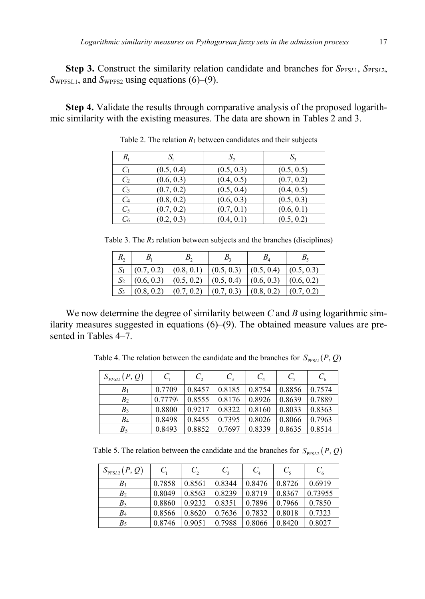**Step 3.** Construct the similarity relation candidate and branches for *S*<sub>PFS*L*1</sub>, *S*<sub>PFS</sub><sub>L2</sub>, *S*<sub>WPFSL1</sub>, and *S*<sub>WPFS2</sub> using equations (6)–(9).

**Step 4.** Validate the results through comparative analysis of the proposed logarithmic similarity with the existing measures. The data are shown in Tables 2 and 3.

| R,             |            | $S_{\gamma}$ |            |
|----------------|------------|--------------|------------|
| C <sub>1</sub> | (0.5, 0.4) | (0.5, 0.3)   | (0.5, 0.5) |
| C <sub>2</sub> | (0.6, 0.3) | (0.4, 0.5)   | (0.7, 0.2) |
| $C_3$          | (0.7, 0.2) | (0.5, 0.4)   | (0.4, 0.5) |
| C <sub>4</sub> | (0.8, 0.2) | (0.6, 0.3)   | (0.5, 0.3) |
| $C_5$          | (0.7, 0.2) | (0.7, 0.1)   | (0.6, 0.1) |
| C6             | (0.2, 0.3) | (0.4, 0.1)   | (0.5, 0.2) |

Table 2. The relation  $R_1$  between candidates and their subjects

Table 3. The  $R_3$  relation between subjects and the branches (disciplines)

| $R_{2}$ |            |            | В.         | $B_{\scriptscriptstyle A}$ |            |
|---------|------------|------------|------------|----------------------------|------------|
|         | (0.7, 0.2) | (0.8, 0.1) | (0.5, 0.3) | (0.5, 0.4)                 | (0.5, 0.3) |
|         | (0.6, 0.3) | (0.5, 0.2) | (0.5, 0.4) | (0.6, 0.3)                 | (0.6, 0.2) |
|         | (0.8, 0.2) | (0.7, 0.2) | (0.7, 0.3) | (0.8, 0.2)                 | (0.7, 0.2) |

We now determine the degree of similarity between *C* and *B* using logarithmic similarity measures suggested in equations  $(6)$ – $(9)$ . The obtained measure values are presented in Tables 4–7.

Table 4. The relation between the candidate and the branches for  $S_{\text{PFSL1}}(P, Q)$ 

| $S_{\text{PFSL1}}(P,Q)$ | $C_{1}$ | $C_{2}$ | $C_{2}$ | $C_{4}$ | $C_{\epsilon}$ | $C_{\epsilon}$ |
|-------------------------|---------|---------|---------|---------|----------------|----------------|
| $B_1$                   | 0.7709  | 0.8457  | 0.8185  | 0.8754  | 0.8856         | 0.7574         |
| B <sub>2</sub>          | 0.7779  | 0.8555  | 0.8176  | 0.8926  | 0.8639         | 0.7889         |
| $B_3$                   | 0.8800  | 0.9217  | 0.8322  | 0.8160  | 0.8033         | 0.8363         |
| B4                      | 0.8498  | 0.8455  | 0.7395  | 0.8026  | 0.8066         | 0.7963         |
| $B_5$                   | 0.8493  | 0.8852  | 0.7697  | 0.8339  | 0.8635         | 0.8514         |

Table 5. The relation between the candidate and the branches for  $S_{PFS/2} ( P, Q )$ 

| $S_{\text{PFSL2}}(P,Q)$ | $C_{1}$ | $C_{2}$ | $C_{\rm a}$ | $C_{A}$ | $C_{\rm s}$ | $C_{\epsilon}$ |
|-------------------------|---------|---------|-------------|---------|-------------|----------------|
| B <sub>1</sub>          | 0.7858  | 0.8561  | 0.8344      | 0.8476  | 0.8726      | 0.6919         |
| B <sub>2</sub>          | 0.8049  | 0.8563  | 0.8239      | 0.8719  | 0.8367      | 0.73955        |
| B <sub>3</sub>          | 0.8860  | 0.9232  | 0.8351      | 0.7896  | 0.7966      | 0.7850         |
| $B_4$                   | 0.8566  | 0.8620  | 0.7636      | 0.7832  | 0.8018      | 0.7323         |
| $B_5$                   | 0.8746  | 0.9051  | 0.7988      | 0.8066  | 0.8420      | 0.8027         |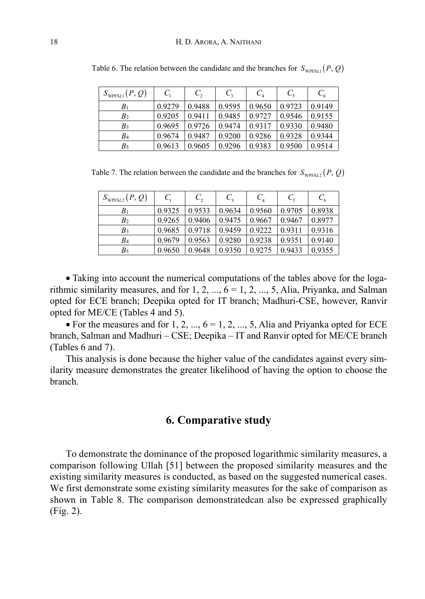| $S_{W{\text{PFSL1}}}(P,Q)$ | $C_{1}$ | $C_{2}$ | $C_{2}$ | $C_{4}$ | $C_{\rm s}$ | $C_6$  |
|----------------------------|---------|---------|---------|---------|-------------|--------|
| B <sub>1</sub>             | 0.9279  | 0.9488  | 0.9595  | 0.9650  | 0.9723      | 0.9149 |
| B <sub>2</sub>             | 0.9205  | 0.9411  | 0.9485  | 0.9727  | 0.9546      | 0.9155 |
| B <sub>3</sub>             | 0.9695  | 0.9726  | 0.9474  | 0.9317  | 0.9330      | 0.9480 |
| B4                         | 0.9674  | 0.9487  | 0.9200  | 0.9286  | 0.9328      | 0.9344 |
| B5                         | 0.9613  | 0.9605  | 0.9296  | 0.9383  | 0.9500      | 0.9514 |

Table 6. The relation between the candidate and the branches for  $S_{WPFSL}(P, Q)$ 

Table 7. The relation between the candidate and the branches for  $S_{\text{WPFSL2}}(P, Q)$ 

| $S_{W{\textnormal{PFSL2}}}(P,Q)$ |        | $C_{2}$ | $C_{\rm a}$ | $C_{\scriptscriptstyle{A}}$ | $C_{\epsilon}$ | $C_{6}$ |
|----------------------------------|--------|---------|-------------|-----------------------------|----------------|---------|
| B <sub>1</sub>                   | 0.9325 | 0.9533  | 0.9634      | 0.9560                      | 0.9705         | 0.8938  |
| B <sub>2</sub>                   | 0.9265 | 0.9406  | 0.9475      | 0.9667                      | 0.9467         | 0.8977  |
| B <sub>3</sub>                   | 0.9685 | 0.9718  | 0.9459      | 0.9222                      | 0.9311         | 0.9316  |
| B4                               | 0.9679 | 0.9563  | 0.9280      | 0.9238                      | 0.9351         | 0.9140  |
| B5                               | 0.9650 | 0.9648  | 0.9350      | 0.9275                      | 0.9433         | 0.9355  |

• Taking into account the numerical computations of the tables above for the logarithmic similarity measures, and for  $1, 2, ..., 6 = 1, 2, ..., 5$ , Alia, Priyanka, and Salman opted for ECE branch; Deepika opted for IT branch; Madhuri-CSE, however, Ranvir opted for ME/CE (Tables 4 and 5).

• For the measures and for 1, 2, ...,  $6 = 1, 2, ..., 5$ , Alia and Priyanka opted for ECE branch, Salman and Madhuri – CSE; Deepika – IT and Ranvir opted for ME/CE branch (Tables 6 and 7).

This analysis is done because the higher value of the candidates against every similarity measure demonstrates the greater likelihood of having the option to choose the branch.

# **6. Comparative study**

To demonstrate the dominance of the proposed logarithmic similarity measures, a comparison following Ullah [51] between the proposed similarity measures and the existing similarity measures is conducted, as based on the suggested numerical cases. We first demonstrate some existing similarity measures for the sake of comparison as shown in Table 8. The comparison demonstratedcan also be expressed graphically (Fig. 2).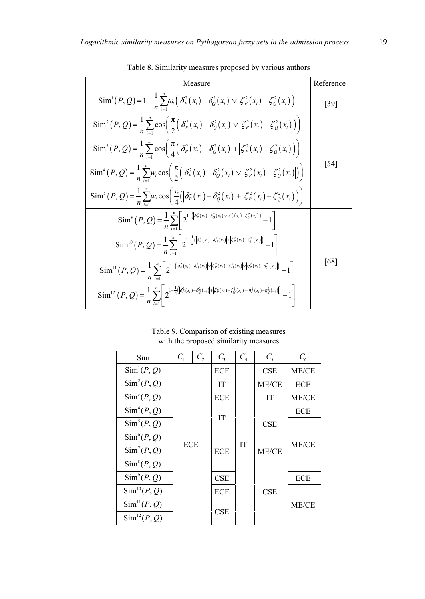| Measure                                                                                                                                                                                                                                                                                                      | Reference |
|--------------------------------------------------------------------------------------------------------------------------------------------------------------------------------------------------------------------------------------------------------------------------------------------------------------|-----------|
| $\operatorname{Sim}^1(P,Q) = 1 - \frac{1}{n} \sum_{i=1}^{n} \omega_i \left( \left  \delta_p^2(x_i) - \delta_Q^2(x_i) \right  \vee \left  \zeta_p^2(x_i) - \zeta_q^2(x_i) \right  \right)$                                                                                                                    | [39]      |
| $\operatorname{Sim}^{2}(P,Q) = \frac{1}{n} \sum_{i=1}^{n} \cos \left( \frac{\pi}{2} \left( \left  \delta_{P}^{2}(x_{i}) - \delta_{Q}^{2}(x_{i}) \right  \vee \left  \zeta_{P}^{2}(x_{i}) - \zeta_{Q}^{2}(x_{i}) \right  \right) \right)$                                                                     |           |
| $\operatorname{Sim}^{3}(P,Q)=\frac{1}{n}\sum_{i=1}^{n}\cos\left(\frac{\pi}{4}(\left \delta_{p}^{2}(x_{i})-\delta_{Q}^{2}(x_{i})\right +\left \zeta_{p}^{2}(x_{i})-\zeta_{Q}^{2}(x_{i})\right \right)\right)$                                                                                                 |           |
| $\operatorname{Sim}^4(P, Q) = \frac{1}{n} \sum_{i=1}^n w_i \cos \left( \frac{\pi}{2} \left( \left  \delta_p^2(x_i) - \delta_Q^2(x_i) \right  \vee \left  \zeta_p^2(x_i) - \zeta_Q^2(x_i) \right  \right) \right)$                                                                                            | [54]      |
| $\text{Sim}^{5}(P,Q) = \frac{1}{n} \sum_{i=1}^{n} w_i \cos \left( \frac{\pi}{4} ( \left  \delta^2_{P}(x_i) - \delta^2_{Q}(x_i) \right  + \left  \zeta^2_{P}(x_i) - \zeta^2_{Q}(x_i) \right  \right)$                                                                                                         |           |
| $\mathrm{Sim}^9(P, Q) = \frac{1}{n} \sum_{r=1}^{n} \left[ 2^{1 - (\left \delta_p^2(x_i) - \delta_Q^2(x_i)\right  \vee \left \zeta_p^2(x_i) - \zeta_Q^2(x_i)\right )} - 1 \right]$                                                                                                                            |           |
| $\mathrm{Sim}^{10}\left(P,Q\right) = \frac{1}{n}\sum_{i=1}^{n}\left[2^{-\frac{1}{2}\left(\left \delta_{P}^{2}\left(x_{i}\right) - \delta_{Q}^{2}\left(x_{i}\right)\right  + \left \xi_{P}^{2}\left(x_{i}\right) - \xi_{Q}^{2}\left(x_{i}\right)\right )}{-1}\right]$                                         |           |
| $\text{Sim}^{11}(P,Q) = \frac{1}{n} \sum_{r=1}^{n} \left[ 2^{1 - (\left \delta_{\rho}^{2}(x_{r}) - \delta_{\mathcal{Q}}^{2}(x_{r})\right  \vee \left \zeta_{\rho}^{2}(x_{r}) - \zeta_{\mathcal{Q}}^{2}(x_{r})\right  \vee \left \eta_{\rho}^{2}(x_{r}) - \eta_{\mathcal{Q}}^{2}(x_{r})\right )} - 1 \right]$ | [68]      |
| $\text{Sim}^{12}\left(P,Q\right) = \frac{1}{n}\sum_{i=1}^{n} \left  2^{-\frac{1}{2} \left( \left  \delta_P^2(x_i) - \delta_Q^2(x_i) \right  + \left  \zeta_P^2(x_i) - \zeta_Q^2(x_i) \right  + \left  \eta_P^2(x_i) - \eta_Q^2(x_i) \right  \right)} - 1 \right $                                            |           |

Table 8. Similarity measures proposed by various authors

Table 9. Comparison of existing measures with the proposed similarity measures

| Sim                      | $C_{1}$    | $C_{2}$ | $C_{3}$    | $C_{4}$   | $C_{\rm s}$ | $C_{\epsilon}$ |
|--------------------------|------------|---------|------------|-----------|-------------|----------------|
| Sim <sup>1</sup> (P, Q)  |            |         | <b>ECE</b> |           | <b>CSE</b>  | ME/CE          |
| $\text{Sim}^2(P, Q)$     |            |         | IT         |           | ME/CE       | <b>ECE</b>     |
| $\text{Sim}^3(P, Q)$     |            |         | ECE        |           | <b>IT</b>   | ME/CE          |
| $\text{Sim}^4(P, Q)$     | <b>ECE</b> |         |            |           |             | <b>ECE</b>     |
| $\text{Sim}^5(P, Q)$     |            |         | <b>IT</b>  |           | <b>CSE</b>  |                |
| $\text{Sim}^6(P, Q)$     |            |         | <b>ECE</b> |           |             |                |
| $\text{Sim}^7(P, Q)$     |            |         |            | <b>IT</b> | ME/CE       | ME/CE          |
| $Sim^8(P, Q)$            |            |         |            |           | CSE         |                |
| $\text{Sim}^9(P, Q)$     |            |         |            |           |             | <b>ECE</b>     |
| $\text{Sim}^{10}(P, Q)$  |            |         | <b>ECE</b> |           |             |                |
| Sim <sup>11</sup> (P, Q) |            |         |            |           |             | ME/CE          |
| $\text{Sim}^{12}(P, Q)$  |            |         | CSE        |           |             |                |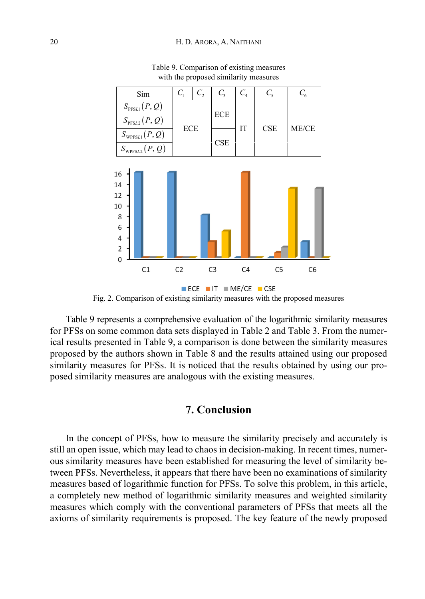

Table 9. Comparison of existing measures with the proposed similarity measures

Table 9 represents a comprehensive evaluation of the logarithmic similarity measures for PFSs on some common data sets displayed in Table 2 and Table 3. From the numerical results presented in Table 9, a comparison is done between the similarity measures proposed by the authors shown in Table 8 and the results attained using our proposed similarity measures for PFSs. It is noticed that the results obtained by using our proposed similarity measures are analogous with the existing measures.

## **7. Conclusion**

In the concept of PFSs, how to measure the similarity precisely and accurately is still an open issue, which may lead to chaos in decision-making. In recent times, numerous similarity measures have been established for measuring the level of similarity between PFSs. Nevertheless, it appears that there have been no examinations of similarity measures based of logarithmic function for PFSs. To solve this problem, in this article, a completely new method of logarithmic similarity measures and weighted similarity measures which comply with the conventional parameters of PFSs that meets all the axioms of similarity requirements is proposed. The key feature of the newly proposed

Fig. 2. Comparison of existing similarity measures with the proposed measures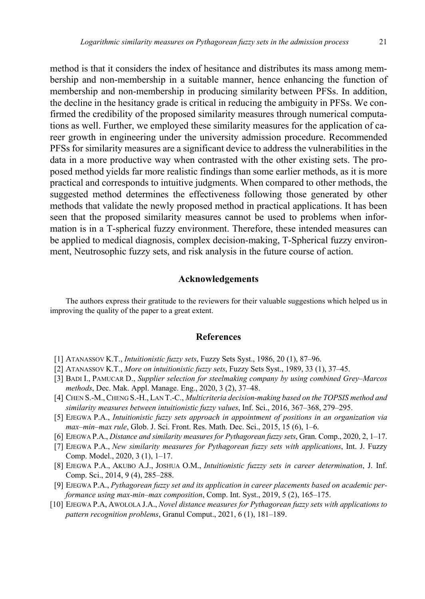method is that it considers the index of hesitance and distributes its mass among membership and non-membership in a suitable manner, hence enhancing the function of membership and non-membership in producing similarity between PFSs. In addition, the decline in the hesitancy grade is critical in reducing the ambiguity in PFSs. We confirmed the credibility of the proposed similarity measures through numerical computations as well. Further, we employed these similarity measures for the application of career growth in engineering under the university admission procedure. Recommended PFSs for similarity measures are a significant device to address the vulnerabilities in the data in a more productive way when contrasted with the other existing sets. The proposed method yields far more realistic findings than some earlier methods, as it is more practical and corresponds to intuitive judgments. When compared to other methods, the suggested method determines the effectiveness following those generated by other methods that validate the newly proposed method in practical applications. It has been seen that the proposed similarity measures cannot be used to problems when information is in a T-spherical fuzzy environment. Therefore, these intended measures can be applied to medical diagnosis, complex decision-making, T-Spherical fuzzy environment, Neutrosophic fuzzy sets, and risk analysis in the future course of action.

#### **Acknowledgements**

The authors express their gratitude to the reviewers for their valuable suggestions which helped us in improving the quality of the paper to a great extent.

#### **References**

- [1] ATANASSOV K.T., *Intuitionistic fuzzy sets*, Fuzzy Sets Syst., 1986, 20 (1), 87–96.
- [2] ATANASSOV K.T., *More on intuitionistic fuzzy sets*, Fuzzy Sets Syst., 1989, 33 (1), 37–45.
- [3] BADI I., PAMUCAR D., *Supplier selection for steelmaking company by using combined Grey–Marcos methods*, Dec. Mak. Appl. Manage. Eng., 2020, 3 (2), 37–48.
- [4] CHEN S.-M.,CHENG S.-H., LAN T.-C., *Multicriteria decision-making based on the TOPSIS method and similarity measures between intuitionistic fuzzy values*, Inf. Sci., 2016, 367–368, 279–295.
- [5] EJEGWA P.A., *Intuitionistic fuzzy sets approach in appointment of positions in an organization via max–min–max rule*, Glob. J. Sci. Front. Res. Math. Dec. Sci., 2015, 15 (6), 1–6.
- [6] EJEGWA P.A., *Distance and similarity measures for Pythagorean fuzzy sets*, Gran. Comp., 2020, 2, 1–17.
- [7] EJEGWA P.A., *New similarity measures for Pythagorean fuzzy sets with applications*, Int. J. Fuzzy Comp. Model., 2020, 3 (1), 1–17.
- [8] EJEGWA P.A., AKUBO A.J., JOSHUA O.M., *Intuitionistic fuzzzy sets in career determination*, J. Inf. Comp. Sci., 2014, 9 (4), 285–288.
- [9] EJEGWA P.A., *Pythagorean fuzzy set and its application in career placements based on academic performance using max-min–max composition*, Comp. Int. Syst., 2019, 5 (2), 165–175.
- [10] EJEGWA P.A, AWOLOLA J.A., *Novel distance measures for Pythagorean fuzzy sets with applications to pattern recognition problems*, Granul Comput., 2021, 6 (1), 181–189.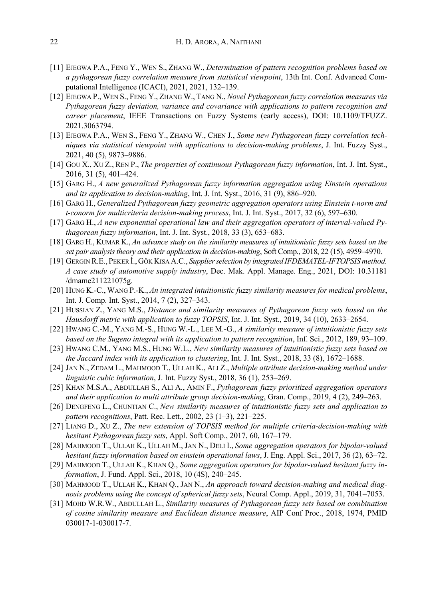- [11] EJEGWA P.A., FENG Y., WEN S., ZHANG W., *Determination of pattern recognition problems based on a pythagorean fuzzy correlation measure from statistical viewpoint*, 13th Int. Conf. Advanced Computational Intelligence (ICACI), 2021, 2021, 132–139.
- [12] EJEGWA P., WEN S., FENG Y., ZHANG W., TANG N., *Novel Pythagorean fuzzy correlation measures via Pythagorean fuzzy deviation, variance and covariance with applications to pattern recognition and career placement*, IEEE Transactions on Fuzzy Systems (early access), DOI: 10.1109/TFUZZ. 2021.3063794.
- [13] EJEGWA P.A., WEN S., FENG Y., ZHANG W., CHEN J., *Some new Pythagorean fuzzy correlation techniques via statistical viewpoint with applications to decision-making problems*, J. Int. Fuzzy Syst., 2021, 40 (5), 9873–9886.
- [14] GOU X., XU Z., REN P., *The properties of continuous Pythagorean fuzzy information*, Int. J. Int. Syst., 2016, 31 (5), 401–424.
- [15] GARG H., *A new generalized Pythagorean fuzzy information aggregation using Einstein operations and its application to decision-making*, Int. J. Int. Syst., 2016, 31 (9), 886–920.
- [16] GARG H., *Generalized Pythagorean fuzzy geometric aggregation operators using Einstein t-norm and t-conorm for multicriteria decision-making process*, Int. J. Int. Syst., 2017, 32 (6), 597–630.
- [17] GARG H., *A new exponential operational law and their aggregation operators of interval-valued Pythagorean fuzzy information*, Int. J. Int. Syst., 2018, 33 (3), 653–683.
- [18] GARG H., KUMAR K., *An advance study on the similarity measures of intuitionistic fuzzy sets based on the set pair analysis theory and their application in decision-making*, Soft Comp., 2018, 22 (15), 4959–4970.
- [19] GERGIN R.E., PEKER İ., GÖK KISA A.C., *Supplier selection by integrated IFDEMATEL-IFTOPSIS method. A case study of automotive supply industry*, Dec. Mak. Appl. Manage. Eng., 2021, DOI: 10.31181 /dmame211221075g.
- [20] HUNG K.-C., WANG P.-K., *An integrated intuitionistic fuzzy similarity measures for medical problems*, Int. J. Comp. Int. Syst., 2014, 7 (2), 327–343.
- [21] HUSSIAN Z., YANG M.S., *Distance and similarity measures of Pythagorean fuzzy sets based on the Hausdorff metric with application to fuzzy TOPSIS*, Int. J. Int. Syst., 2019, 34 (10), 2633–2654.
- [22] HWANG C.-M., YANG M.-S., HUNG W.-L., LEE M.-G., *A similarity measure of intuitionistic fuzzy sets based on the Sugeno integral with its application to pattern recognition*, Inf. Sci., 2012, 189, 93–109.
- [23] HWANG C.M., YANG M.S., HUNG W.L., *New similarity measures of intuitionistic fuzzy sets based on the Jaccard index with its application to clustering*, Int. J. Int. Syst., 2018, 33 (8), 1672–1688.
- [24] JAN N., ZEDAM L., MAHMOOD T., ULLAH K., ALI Z., *Multiple attribute decision-making method under linguistic cubic information*, J. Int. Fuzzy Syst., 2018, 36 (1), 253–269.
- [25] KHAN M.S.A., ABDULLAH S., ALI A., AMIN F., *Pythagorean fuzzy prioritized aggregation operators and their application to multi attribute group decision-making*, Gran. Comp., 2019, 4 (2), 249–263.
- [26] DENGFENG L., CHUNTIAN C., *New similarity measures of intuitionistic fuzzy sets and application to pattern recognitions*, Patt. Rec. Lett., 2002, 23 (1–3), 221–225.
- [27] LIANG D., XU Z., *The new extension of TOPSIS method for multiple criteria-decision-making with hesitant Pythagorean fuzzy sets*, Appl. Soft Comp., 2017, 60, 167–179.
- [28] MAHMOOD T., ULLAH K., ULLAH M., JAN N., DELI I., *Some aggregation operators for bipolar-valued hesitant fuzzy information based on einstein operational laws*, J. Eng. Appl. Sci., 2017, 36 (2), 63–72.
- [29] MAHMOOD T., ULLAH K., KHAN Q., *Some aggregation operators for bipolar-valued hesitant fuzzy information*, J. Fund. Appl. Sci., 2018, 10 (4S), 240–245.
- [30] MAHMOOD T., ULLAH K., KHAN Q., JAN N., *An approach toward decision-making and medical diagnosis problems using the concept of spherical fuzzy sets*, Neural Comp. Appl., 2019, 31, 7041–7053.
- [31] MOHD W.R.W., ABDULLAH L., *Similarity measures of Pythagorean fuzzy sets based on combination of cosine similarity measure and Euclidean distance measure*, AIP Conf Proc., 2018, 1974, PMID 030017-1-030017-7.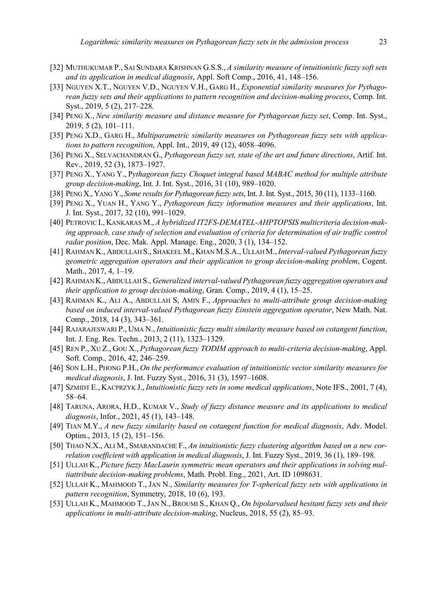- [32] MUTHUKUMAR P., SAI SUNDARA KRISHNAN G.S.S., *A similarity measure of intuitionistic fuzzy soft sets and its application in medical diagnosis*, Appl. Soft Comp., 2016, 41, 148–156.
- [33] NGUYEN X.T., NGUYEN V.D., NGUYEN V.H., GARG H., *Exponential similarity measures for Pythagorean fuzzy sets and their applications to pattern recognition and decision-making process*, Comp. Int. Syst., 2019, 5 (2), 217–228.
- [34] PENG X., *New similarity measure and distance measure for Pythagorean fuzzy set*, Comp. Int. Syst., 2019, 5 (2), 101–111.
- [35] PENG X.D., GARG H., *Multiparametric similarity measures on Pythagorean fuzzy sets with applications to pattern recognition*, Appl. Int., 2019, 49 (12), 4058–4096.
- [36] PENG X., SELVACHANDRAN G., *Pythagorean fuzzy set, state of the art and future directions*, Artif. Int. Rev., 2019, 52 (3), 1873–1927.
- [37] PENG X., YANG Y., P*ythagorean fuzzy Choquet integral based MABAC method for multiple attribute group decision-making*, Int. J. Int. Syst., 2016, 31 (10), 989–1020.
- [38] PENG X., YANG Y., *Some results for Pythagorean fuzzy sets*, Int. J. Int. Syst., 2015, 30 (11), 1133–1160.
- [39] PENG X., YUAN H., YANG Y., *Pythagorean fuzzy information measures and their applications*, Int. J. Int. Syst., 2017, 32 (10), 991–1029.
- [40] PETROVIC I., KANKARAS M., *A hybridized IT2FS-DEMATEL-AHPTOPSIS multicriteria decision-making approach, case study of selection and evaluation of criteria for determination of air traffic control radar position*, Dec. Mak. Appl. Manage. Eng., 2020, 3 (1), 134–152.
- [41] RAHMAN K., ABDULLAH S., SHAKEEL M., KHAN M.S.A., ULLAH M., *Interval-valued Pythagorean fuzzy geometric aggregation operators and their application to group decision-making problem*, Cogent. Math., 2017, 4, 1–19.
- [42] RAHMAN K., ABDULLAH S., *Generalized interval-valued Pythagorean fuzzy aggregation operators and their application to group decision-making*, Gran. Comp., 2019, 4 (1), 15–25.
- [43] RAHMAN K., ALI A., ABDULLAH S, AMIN F., *Approaches to multi-attribute group decision-making based on induced interval-valued Pythagorean fuzzy Einstein aggregation operator*, New Math. Nat. Comp., 2018, 14 (3), 343–361.
- [44] RAJARAJESWARI P., UMA N., *Intuitionistic fuzzy multi similarity measure based on cotangent function*, Int. J. Eng. Res. Techn., 2013, 2 (11), 1323–1329.
- [45] REN P., XU Z., GOU X., *Pythagorean fuzzy TODIM approach to multi-criteria decision-making*, Appl. Soft. Comp., 2016, 42, 246–259.
- [46] SON L.H., PHONG P.H., *On the performance evaluation of intuitionistic vector similarity measures for medical diagnosis*, J. Int. Fuzzy Syst., 2016, 31 (3), 1597–1608.
- [47] SZMIDT E., KACPRZYK J., *Intuitionistic fuzzy sets in some medical applications*, Note IFS., 2001, 7 (4), 58–64.
- [48] TARUNA, ARORA, H.D., KUMAR V., *Study of fuzzy distance measure and its applications to medical diagnosis*, Infor., 2021, 45 (1), 143–148.
- [49] TIAN M.Y., *A new fuzzy similarity based on cotangent function for medical diagnosis*, Adv. Model. Optim., 2013, 15 (2), 151–156.
- [50] THAO N.X., ALI M., SMARANDACHE F., *An intuitionistic fuzzy clustering algorithm based on a new correlation coefficient with application in medical diagnosis*, J. Int. Fuzzy Syst., 2019, 36 (1), 189–198.
- [51] ULLAH K., *Picture fuzzy MacLaurin symmetric mean operators and their applications in solving multiattribute decision-making problems*, Math. Probl. Eng., 2021, Art. ID 1098631.
- [52] ULLAH K., MAHMOOD T., JAN N., *Similarity measures for T-spherical fuzzy sets with applications in pattern recognition*, Symmetry, 2018, 10 (6), 193.
- [53] ULLAH K., MAHMOOD T., JAN N., BROUMI S., KHAN Q., *On bipolarvalued hesitant fuzzy sets and their applications in multi-attribute decision-making*, Nucleus, 2018, 55 (2), 85–93.